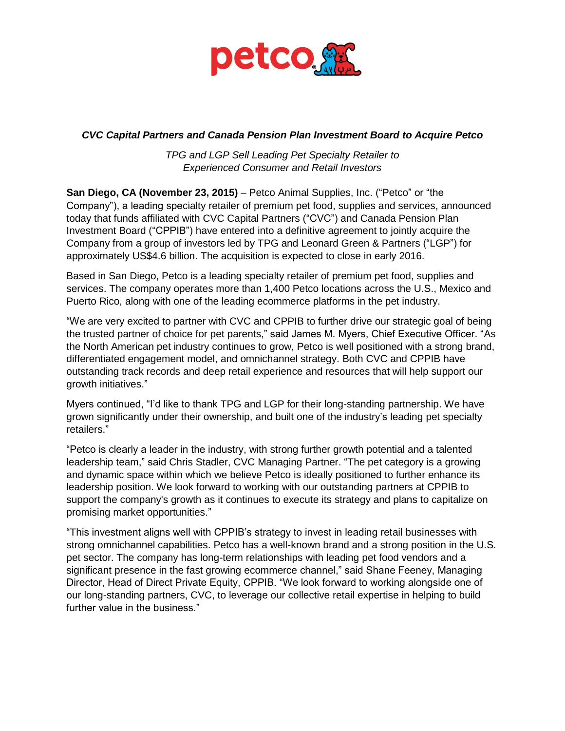

## *CVC Capital Partners and Canada Pension Plan Investment Board to Acquire Petco*

*TPG and LGP Sell Leading Pet Specialty Retailer to Experienced Consumer and Retail Investors*

**San Diego, CA (November 23, 2015)** – Petco Animal Supplies, Inc. ("Petco" or "the Company"), a leading specialty retailer of premium pet food, supplies and services, announced today that funds affiliated with CVC Capital Partners ("CVC") and Canada Pension Plan Investment Board ("CPPIB") have entered into a definitive agreement to jointly acquire the Company from a group of investors led by TPG and Leonard Green & Partners ("LGP") for approximately US\$4.6 billion. The acquisition is expected to close in early 2016.

Based in San Diego, Petco is a leading specialty retailer of premium pet food, supplies and services. The company operates more than 1,400 Petco locations across the U.S., Mexico and Puerto Rico, along with one of the leading ecommerce platforms in the pet industry.

"We are very excited to partner with CVC and CPPIB to further drive our strategic goal of being the trusted partner of choice for pet parents," said James M. Myers, Chief Executive Officer. "As the North American pet industry continues to grow, Petco is well positioned with a strong brand, differentiated engagement model, and omnichannel strategy. Both CVC and CPPIB have outstanding track records and deep retail experience and resources that will help support our growth initiatives."

Myers continued, "I'd like to thank TPG and LGP for their long-standing partnership. We have grown significantly under their ownership, and built one of the industry's leading pet specialty retailers."

"Petco is clearly a leader in the industry, with strong further growth potential and a talented leadership team," said Chris Stadler, CVC Managing Partner. "The pet category is a growing and dynamic space within which we believe Petco is ideally positioned to further enhance its leadership position. We look forward to working with our outstanding partners at CPPIB to support the company's growth as it continues to execute its strategy and plans to capitalize on promising market opportunities."

"This investment aligns well with CPPIB's strategy to invest in leading retail businesses with strong omnichannel capabilities. Petco has a well-known brand and a strong position in the U.S. pet sector. The company has long-term relationships with leading pet food vendors and a significant presence in the fast growing ecommerce channel," said Shane Feeney, Managing Director, Head of Direct Private Equity, CPPIB. "We look forward to working alongside one of our long-standing partners, CVC, to leverage our collective retail expertise in helping to build further value in the business."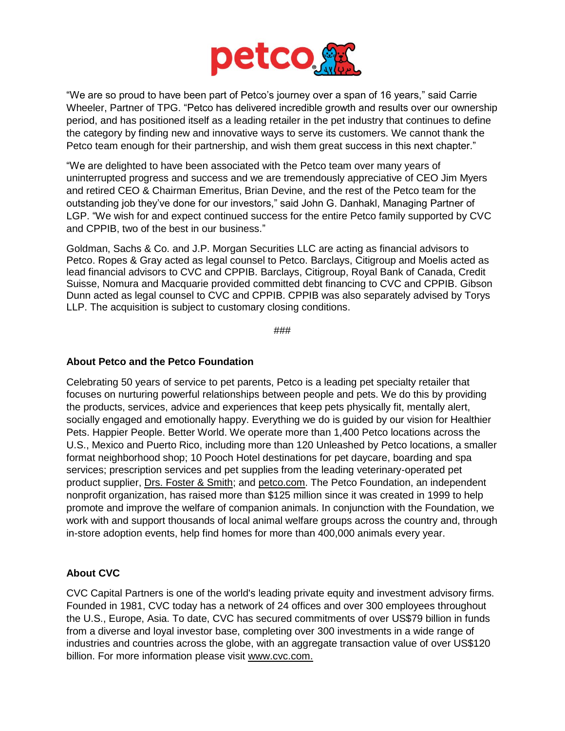

"We are so proud to have been part of Petco's journey over a span of 16 years," said Carrie Wheeler, Partner of TPG. "Petco has delivered incredible growth and results over our ownership period, and has positioned itself as a leading retailer in the pet industry that continues to define the category by finding new and innovative ways to serve its customers. We cannot thank the Petco team enough for their partnership, and wish them great success in this next chapter."

"We are delighted to have been associated with the Petco team over many years of uninterrupted progress and success and we are tremendously appreciative of CEO Jim Myers and retired CEO & Chairman Emeritus, Brian Devine, and the rest of the Petco team for the outstanding job they've done for our investors," said John G. Danhakl, Managing Partner of LGP. "We wish for and expect continued success for the entire Petco family supported by CVC and CPPIB, two of the best in our business."

Goldman, Sachs & Co. and J.P. Morgan Securities LLC are acting as financial advisors to Petco. Ropes & Gray acted as legal counsel to Petco. Barclays, Citigroup and Moelis acted as lead financial advisors to CVC and CPPIB. Barclays, Citigroup, Royal Bank of Canada, Credit Suisse, Nomura and Macquarie provided committed debt financing to CVC and CPPIB. Gibson Dunn acted as legal counsel to CVC and CPPIB. CPPIB was also separately advised by Torys LLP. The acquisition is subject to customary closing conditions.

###

#### **About Petco and the Petco Foundation**

Celebrating 50 years of service to pet parents, Petco is a leading pet specialty retailer that focuses on nurturing powerful relationships between people and pets. We do this by providing the products, services, advice and experiences that keep pets physically fit, mentally alert, socially engaged and emotionally happy. Everything we do is guided by our vision for Healthier Pets. Happier People. Better World. We operate more than 1,400 Petco locations across the U.S., Mexico and Puerto Rico, including more than 120 Unleashed by Petco locations, a smaller format neighborhood shop; 10 Pooch Hotel destinations for pet daycare, boarding and spa services; prescription services and pet supplies from the leading veterinary-operated pet product supplier, [Drs. Foster & Smith;](http://www.drsfostersmith.com/?t=1&ref=4397&subref=AA&cmpid=PPC-G-4397) and [petco.com.](http://petco.com/) The Petco Foundation, an independent nonprofit organization, has raised more than \$125 million since it was created in 1999 to help promote and improve the welfare of companion animals. In conjunction with the Foundation, we work with and support thousands of local animal welfare groups across the country and, through in-store adoption events, help find homes for more than 400,000 animals every year.

## **About CVC**

CVC Capital Partners is one of the world's leading private equity and investment advisory firms. Founded in 1981, CVC today has a network of 24 offices and over 300 employees throughout the U.S., Europe, Asia. To date, CVC has secured commitments of over US\$79 billion in funds from a diverse and loyal investor base, completing over 300 investments in a wide range of industries and countries across the globe, with an aggregate transaction value of over US\$120 billion. For more information please visit [www.cvc.com.](http://www.cvc.com/)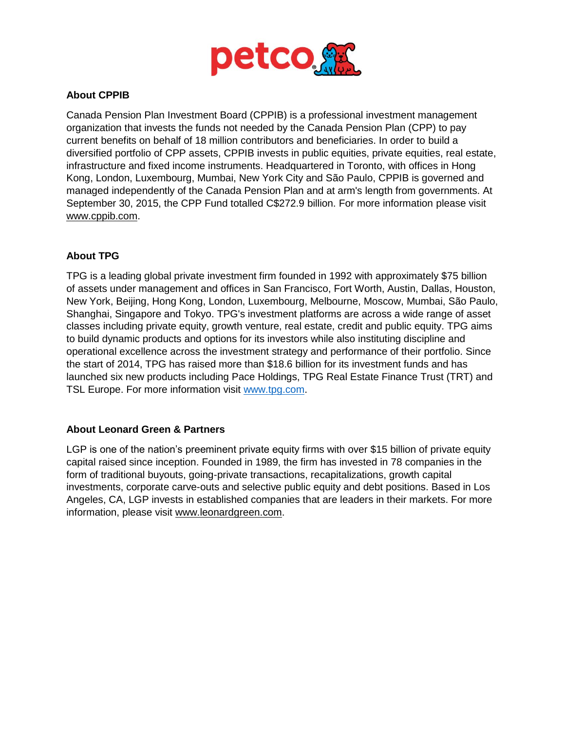

## **About CPPIB**

Canada Pension Plan Investment Board (CPPIB) is a professional investment management organization that invests the funds not needed by the Canada Pension Plan (CPP) to pay current benefits on behalf of 18 million contributors and beneficiaries. In order to build a diversified portfolio of CPP assets, CPPIB invests in public equities, private equities, real estate, infrastructure and fixed income instruments. Headquartered in Toronto, with offices in Hong Kong, London, Luxembourg, Mumbai, New York City and São Paulo, CPPIB is governed and managed independently of the Canada Pension Plan and at arm's length from governments. At September 30, 2015, the CPP Fund totalled C\$272.9 billion. For more information please visit [www.cppib.com.](http://www.cppib.com/)

## **About TPG**

TPG is a leading global private investment firm founded in 1992 with approximately \$75 billion of assets under management and offices in San Francisco, Fort Worth, Austin, Dallas, Houston, New York, Beijing, Hong Kong, London, Luxembourg, Melbourne, Moscow, Mumbai, São Paulo, Shanghai, Singapore and Tokyo. TPG's investment platforms are across a wide range of asset classes including private equity, growth venture, real estate, credit and public equity. TPG aims to build dynamic products and options for its investors while also instituting discipline and operational excellence across the investment strategy and performance of their portfolio. Since the start of 2014, TPG has raised more than \$18.6 billion for its investment funds and has launched six new products including Pace Holdings, TPG Real Estate Finance Trust (TRT) and TSL Europe. For more information visit [www.tpg.com.](http://www.tpg.com/)

## **About Leonard Green & Partners**

LGP is one of the nation's preeminent private equity firms with over \$15 billion of private equity capital raised since inception. Founded in 1989, the firm has invested in 78 companies in the form of traditional buyouts, going-private transactions, recapitalizations, growth capital investments, corporate carve-outs and selective public equity and debt positions. Based in Los Angeles, CA, LGP invests in established companies that are leaders in their markets. For more information, please visit [www.leonardgreen.com.](http://www.leonardgreen.com/)